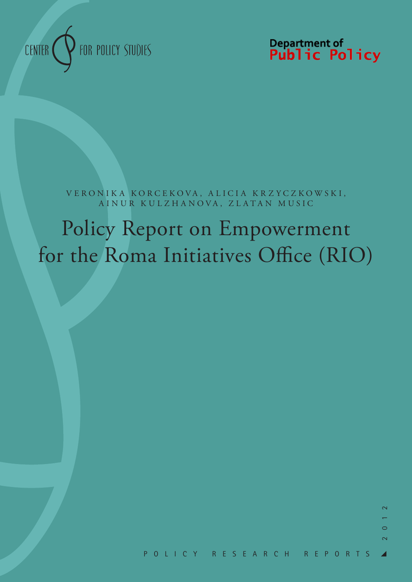

Department of<br>**Public Policy** 

VERONIKA KORCEKOVA, ALICIA KRZYCZKOWSKI, AINUR KULZHANOVA, ZLATAN MUSIC

# Policy Report on Empowerment for the Roma Initiatives Office (RIO)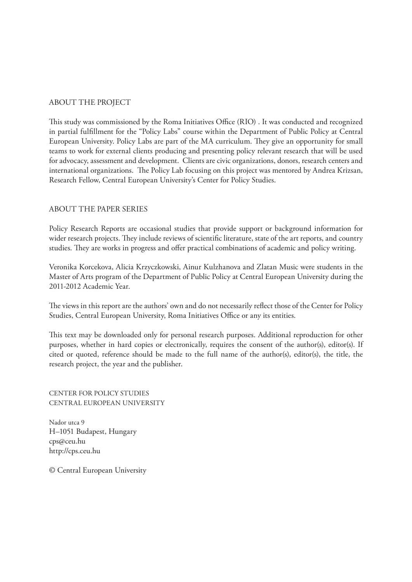## ABOUT THE PROJECT

This study was commissioned by the Roma Initiatives Office (RIO) . It was conducted and recognized in partial fulfillment for the "Policy Labs" course within the Department of Public Policy at Central European University. Policy Labs are part of the MA curriculum. They give an opportunity for small teams to work for external clients producing and presenting policy relevant research that will be used for advocacy, assessment and development. Clients are civic organizations, donors, research centers and international organizations. The Policy Lab focusing on this project was mentored by Andrea Krizsan, Research Fellow, Central European University's Center for Policy Studies.

## ABOUT THE PAPER SERIES

Policy Research Reports are occasional studies that provide support or background information for wider research projects. They include reviews of scientific literature, state of the art reports, and country studies. They are works in progress and offer practical combinations of academic and policy writing.

Veronika Korcekova, Alicia Krzyczkowski, Ainur Kulzhanova and Zlatan Music were students in the Master of Arts program of the Department of Public Policy at Central European University during the 2011-2012 Academic Year.

The views in this report are the authors' own and do not necessarily reflect those of the Center for Policy Studies, Central European University, Roma Initiatives Office or any its entities.

This text may be downloaded only for personal research purposes. Additional reproduction for other purposes, whether in hard copies or electronically, requires the consent of the author(s), editor(s). If cited or quoted, reference should be made to the full name of the author(s), editor(s), the title, the research project, the year and the publisher.

CENTER FOR POLICY STUDIES CENTRAL EUROPEAN UNIVERSITY

Nador utca 9 H–1051 Budapest, Hungary cps@ceu.hu http://cps.ceu.hu

© Central European University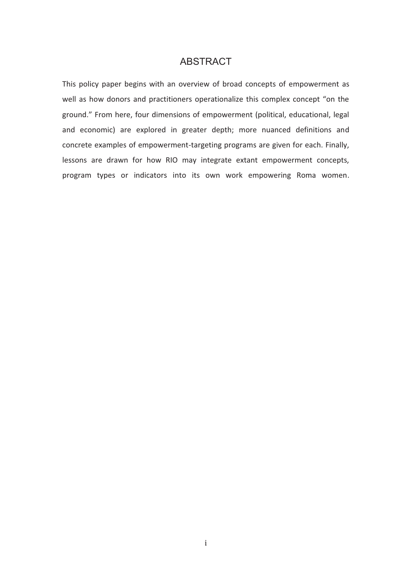# **ABSTRACT**

ABSTRACT<br>overview of browers operationa<br>ons of empowers are depth<br>ent-targeting pr<br>may integrate<br>to its own w This policy paper begins with an overview of broad concepts of empowerment as well as how donors and practitioners operationalize this complex concept "on the ground." From here, four dimensions of empowerment (political, educational, legal and economic) are explored in greater depth; more nuanced definitions and concrete examples of empowerment-targeting programs are given for each. Finally, lessons are drawn for how RIO may integrate extant empowerment concepts, program types or indicators into its own work empowering Roma women.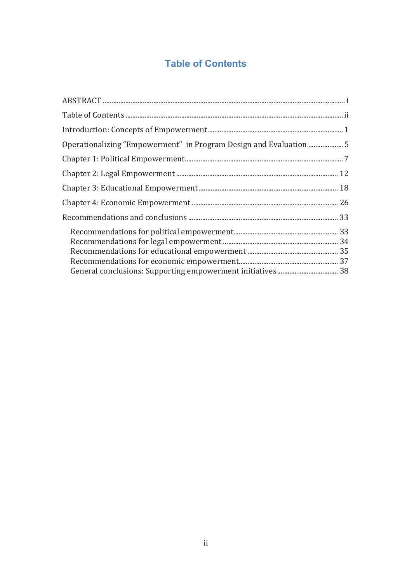# **Table of Contents**

| Operationalizing "Empowerment" in Program Design and Evaluation 5 |  |
|-------------------------------------------------------------------|--|
|                                                                   |  |
|                                                                   |  |
|                                                                   |  |
|                                                                   |  |
|                                                                   |  |
|                                                                   |  |
|                                                                   |  |
|                                                                   |  |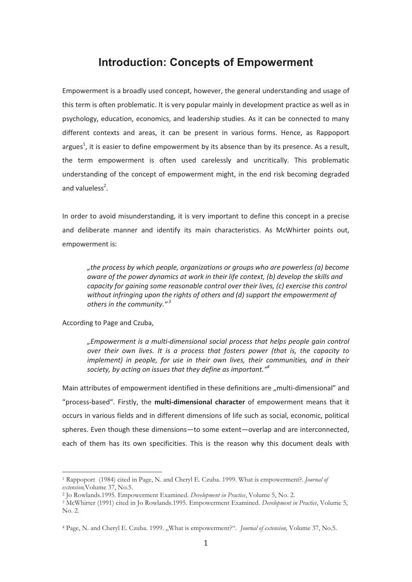# **Introduction: Concepts of Empowerment**

Empowerment is a broadly used concept, however, the general understanding and usage of this term is often problematic. It is very popular mainly in development practice as well as in psychology, education, economics, and leadership studies. As it can be connected to many different contexts and areas, it can be present in various forms. Hence, as Rappoport argues<sup>1</sup>, it is easier to define empowerment by its absence than by its presence. As a result, the term empowerment is often used carelessly and uncritically. This problematic understanding of the concept of empowerment might, in the end risk becoming degraded and valueless<sup>2</sup>.

In order to avoid misunderstanding, it is very important to define this concept in a precise and deliberate manner and identify its main characteristics. As McWhirter points out, empowerment is:

*"the process by which people, organizations or groups who are powerless (a) become aware of the power dynamics at work in their life context, (b) develop the skills and capacity for gaining some reasonable control over their lives, (c) exercise this control without infringing upon the rights of others and (d) support the empowerment of others in the community."<sup>3</sup>*

According to Page and Czuba,

*"Empowerment is a multi-dimensional social process that helps people gain control over their own lives. It is a process that fosters power (that is, the capacity to implement) in people, for use in their own lives, their communities, and in their society, by acting on issues that they define as important."<sup>4</sup>*

Main attributes of empowerment identified in these definitions are "multi-dimensional" and "process-based". Firstly, the **multi-dimensional character** of empowerment means that it occurs in various fields and in different dimensions of life such as social, economic, political spheres. Even though these dimensions—to some extent—overlap and are interconnected, each of them has its own specificities. This is the reason why this document deals with

<sup>1</sup> Rappoport (1984) cited in Page, N. and Cheryl E. Czuba. 1999. What is empowerment?. *Journal of* 

<sup>&</sup>lt;sup>2</sup> Jo Rowlands.1995. Empowerment Examined. *Development in Practice*, Volume 5, No. 2.<br><sup>3</sup> McWhirter (1991) cited in Jo Rowlands.1995. Empowerment Examined. *Development in Practice*, Volume 5, No. 2.

<sup>4</sup> Page, N. and Cheryl E. Czuba. 1999. "What is empowerment?". *Journal of extension,* Volume 37, No.5.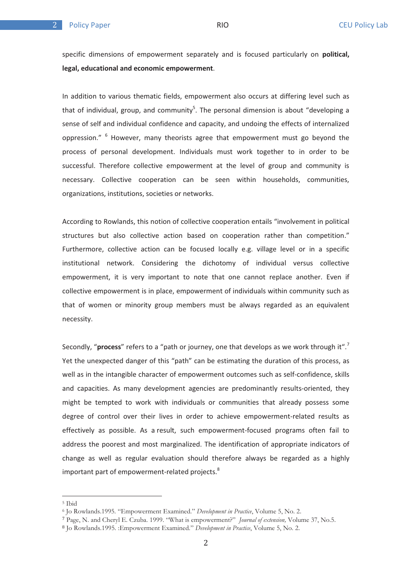$\overline{2}$ 

specific dimensions of empowerment separately and is focused particularly on **political, legal, educational and economic empowerment**.

In addition to various thematic fields, empowerment also occurs at differing level such as that of individual, group, and community<sup>5</sup>. The personal dimension is about "developing a sense of self and individual confidence and capacity, and undoing the effects of internalized oppression." <sup>6</sup> However, many theorists agree that empowerment must go beyond the process of personal development. Individuals must work together to in order to be successful. Therefore collective empowerment at the level of group and community is necessary. Collective cooperation can be seen within households, communities, organizations, institutions, societies or networks.

According to Rowlands, this notion of collective cooperation entails "involvement in political structures but also collective action based on cooperation rather than competition." Furthermore, collective action can be focused locally e.g. village level or in a specific institutional network. Considering the dichotomy of individual versus collective empowerment, it is very important to note that one cannot replace another. Even if collective empowerment is in place, empowerment of individuals within community such as that of women or minority group members must be always regarded as an equivalent necessity.

Secondly, "**process**" refers to a "path or journey, one that develops as we work through it".<sup>7</sup> Yet the unexpected danger of this "path" can be estimating the duration of this process, as well as in the intangible character of empowerment outcomes such as self-confidence, skills and capacities. As many development agencies are predominantly results-oriented, they might be tempted to work with individuals or communities that already possess some degree of control over their lives in order to achieve empowerment-related results as effectively as possible. As a result, such empowerment-focused programs often fail to address the poorest and most marginalized. The identification of appropriate indicators of change as well as regular evaluation should therefore always be regarded as a highly important part of empowerment-related projects.<sup>8</sup>

<sup>5</sup> Ibid

<sup>6</sup> Jo Rowlands.1995. "Empowerment Examined." *Development in Practice*, Volume 5, No. 2. )

Page, N. and Cheryl E. Czuba. 1999. "What is empowerment?" *Journal of extension,* Volume 37, No.5. -

Jo Rowlands.1995. :Empowerment Examined." *Development in Practice*, Volume 5, No. 2.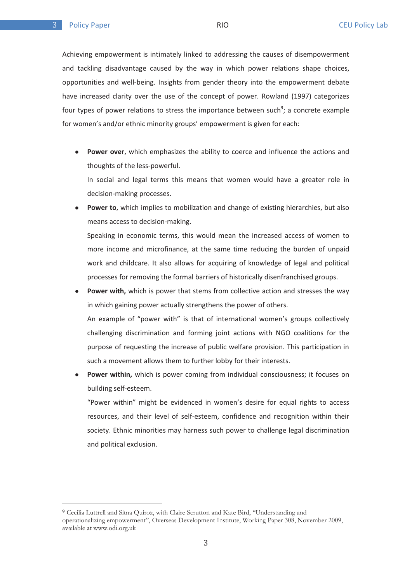$\overline{2}$ 

Achieving empowerment is intimately linked to addressing the causes of disempowerment and tackling disadvantage caused by the way in which power relations shape choices, opportunities and well-being. Insights from gender theory into the empowerment debate have increased clarity over the use of the concept of power. Rowland (1997) categorizes four types of power relations to stress the importance between such<sup>9</sup>; a concrete example for women's and/or ethnic minority groups' empowerment is given for each:

 $\bullet$  **Power over**, which emphasizes the ability to coerce and influence the actions and thoughts of the less-powerful.

In social and legal terms this means that women would have a greater role in decision-making processes.

 $\bullet$  **Power to**, which implies to mobilization and change of existing hierarchies, but also means access to decision-making.

Speaking in economic terms, this would mean the increased access of women to more income and microfinance, at the same time reducing the burden of unpaid work and childcare. It also allows for acquiring of knowledge of legal and political processes for removing the formal barriers of historically disenfranchised groups.

- $\bullet$ Power with, which is power that stems from collective action and stresses the way in which gaining power actually strengthens the power of others. An example of "power with" is that of international women's groups collectively challenging discrimination and forming joint actions with NGO coalitions for the purpose of requesting the increase of public welfare provision. This participation in such a movement allows them to further lobby for their interests.
- $\bullet$  **Power within,** which is power coming from individual consciousness; it focuses on building self-esteem.

"Power within" might be evidenced in women's desire for equal rights to access resources, and their level of self-esteem, confidence and recognition within their society. Ethnic minorities may harness such power to challenge legal discrimination and political exclusion.

<sup>&</sup>lt;sup>9</sup> Cecilia Luttrell and Sitna Quiroz, with Claire Scrutton and Kate Bird, "Understanding and operationalizing empowerment", Overseas Development Institute, Working Paper 308, November 2009, available at www.odi.org.uk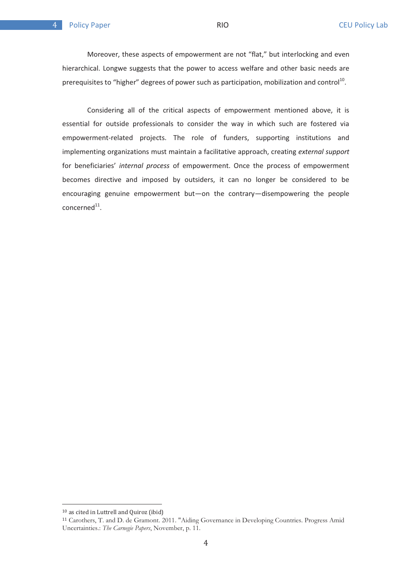.

Moreover, these aspects of empowerment are not "flat," but interlocking and even hierarchical. Longwe suggests that the power to access welfare and other basic needs are prerequisites to "higher" degrees of power such as participation, mobilization and control<sup>10</sup>.

Considering all of the critical aspects of empowerment mentioned above, it is essential for outside professionals to consider the way in which such are fostered via empowerment-related projects. The role of funders, supporting institutions and implementing organizations must maintain a facilitative approach, creating *external support* for beneficiaries' *internal process* of empowerment. Once the process of empowerment becomes directive and imposed by outsiders, it can no longer be considered to be encouraging genuine empowerment but—on the contrary—disempowering the people  $concerned<sup>11</sup>$ .

 $10$  as cited in Luttrell and Quiroz (ibid)

Carothers, T. and D. de Gramont. 2011. "Aiding Governance in Developing Countries. Progress Amid Uncertainties.: *The Carnegie Papers*, November, p. 11.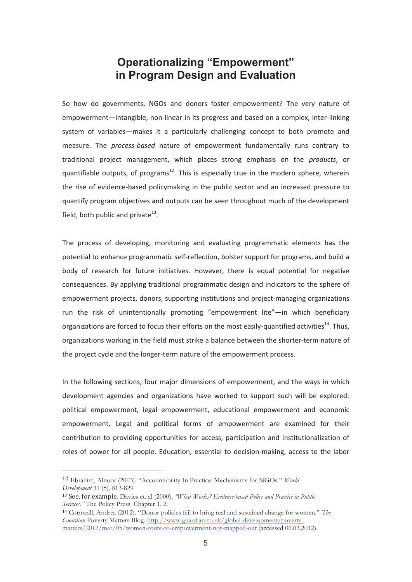# **in Program Design and Evaluation**

So how do governments, NGOs and donors foster empowerment? The very nature of empowerment—intangible, non-linear in its progress and based on a complex, inter-linking system of variables—makes it a particularly challenging concept to both promote and measure. The *process-based* nature of empowerment fundamentally runs contrary to traditional project management, which places strong emphasis on the *products*, or quantifiable outputs, of programs<sup>12</sup>. This is especially true in the modern sphere, wherein the rise of evidence-based policymaking in the public sector and an increased pressure to quantify program objectives and outputs can be seen throughout much of the development field, both public and private $^{13}$ .

The process of developing, monitoring and evaluating programmatic elements has the potential to enhance programmatic self-reflection, bolster support for programs, and build a body of research for future initiatives. However, there is equal potential for negative consequences. By applying traditional programmatic design and indicators to the sphere of empowerment projects, donors, supporting institutions and project-managing organizations run the risk of unintentionally promoting "empowerment lite"—in which beneficiary organizations are forced to focus their efforts on the most easily-quantified activities<sup>14</sup>. Thus, organizations working in the field must strike a balance between the shorter-term nature of the project cycle and the longer-term nature of the empowerment process.

In the following sections, four major dimensions of empowerment, and the ways in which development agencies and organizations have worked to support such will be explored: political empowerment, legal empowerment, educational empowerment and economic empowerment. Legal and political forms of empowerment are examined for their contribution to providing opportunities for access, participation and institutionalization of roles of power for all people. Education, essential to decision-making, access to the labor

<sup>&</sup>lt;sup>12</sup> Ebrahim, Alnoor (2003). "Accountability In Practice: Mechanisms for NGOs." *World Development* 31 (5), 813-829<br><sup>13</sup> See, for example, Davies et. al (2000), *"What Works? Evidence-based Policy and Practice in Public* 

*Services."* The Policy Press. Chapter 1, 2. .

Cornwall, Andrea (2012). "Donor policies fail to bring real and sustained change for women." *The Guardian* Poverty Matters Blog. http://www.guardian.co.uk/global-development/povertymatters/2012/mar/05/women-route-to-empowerment-not-mapped-out (accessed 06.03.2012).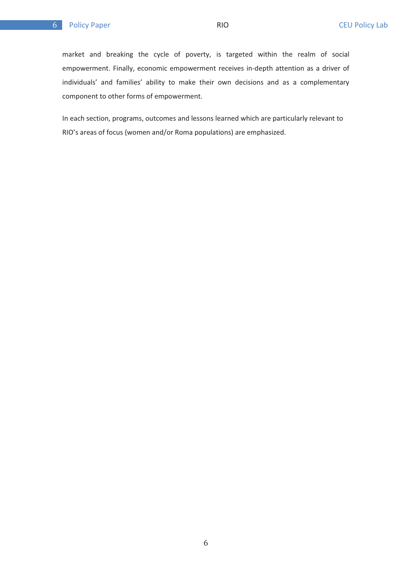#### $6<sup>1</sup>$

market and breaking the cycle of poverty, is targeted within the realm of social empowerment. Finally, economic empowerment receives in-depth attention as a driver of individuals' and families' ability to make their own decisions and as a complementary component to other forms of empowerment.

In each section, programs, outcomes and lessons learned which are particularly relevant to RIO's areas of focus (women and/or Roma populations) are emphasized.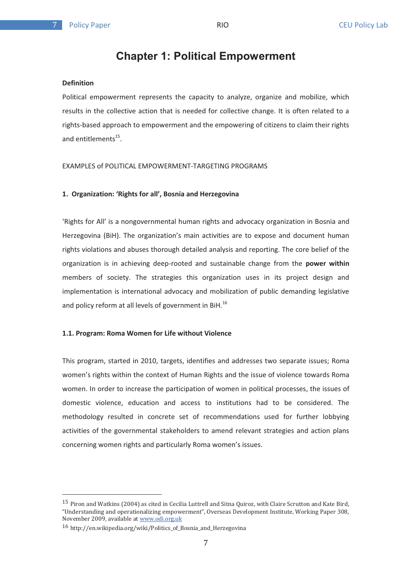$\overline{7}$ 

# **Chapter 1: Political Empowerment**

#### **Definition**

Political empowerment represents the capacity to analyze, organize and mobilize, which results in the collective action that is needed for collective change. It is often related to a rights-based approach to empowerment and the empowering of citizens to claim their rights and entitlements $^{15}$ .

EXAMPLES of POLITICAL EMPOWERMENT-TARGETING PROGRAMS

#### **1. Organization: 'Rights for all', Bosnia and Herzegovina**

'Rights for All' is a nongovernmental human rights and advocacy organization in Bosnia and Herzegovina (BiH). The organization's main activities are to expose and document human rights violations and abuses thorough detailed analysis and reporting. The core belief of the organization is in achieving deep-rooted and sustainable change from the **power within** members of society. The strategies this organization uses in its project design and implementation is international advocacy and mobilization of public demanding legislative and policy reform at all levels of government in BiH.<sup>16</sup>

#### **1.1. Program: Roma Women for Life without Violence**

This program, started in 2010, targets, identifies and addresses two separate issues; Roma women's rights within the context of Human Rights and the issue of violence towards Roma women. In order to increase the participation of women in political processes, the issues of domestic violence, education and access to institutions had to be considered. The methodology resulted in concrete set of recommendations used for further lobbying activities of the governmental stakeholders to amend relevant strategies and action plans concerning women rights and particularly Roma women's issues.

 $^{15}$  Piron and Watkins (2004) as cited in Cecilia Luttrell and Sitna Quiroz, with Claire Scrutton and Kate Bird, "Understanding and operationalizing empowerment", Overseas Development Institute, Working Paper 308, Movember 2009, available at www.odi.org.uk

<sup>/</sup> (== -9-- !=-9-=\$
-->>->>? !&-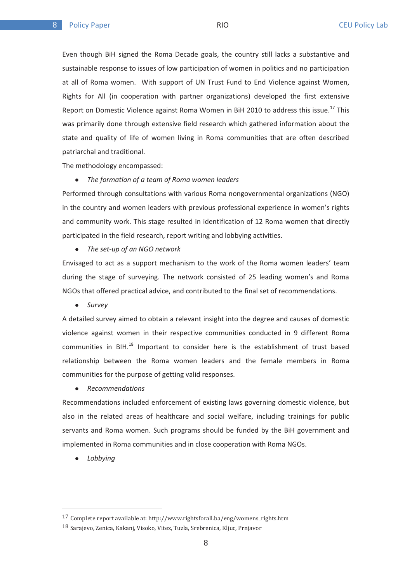Even though BiH signed the Roma Decade goals, the country still lacks a substantive and sustainable response to issues of low participation of women in politics and no participation at all of Roma women. With support of UN Trust Fund to End Violence against Women, Rights for All (in cooperation with partner organizations) developed the first extensive Report on Domestic Violence against Roma Women in BiH 2010 to address this issue.<sup>17</sup> This was primarily done through extensive field research which gathered information about the state and quality of life of women living in Roma communities that are often described patriarchal and traditional.

The methodology encompassed:

 $\bullet$ *The formation of a team of Roma women leaders* 

Performed through consultations with various Roma nongovernmental organizations (NGO) in the country and women leaders with previous professional experience in women's rights and community work. This stage resulted in identification of 12 Roma women that directly participated in the field research, report writing and lobbying activities.

 $\bullet$ *The set-up of an NGO network* 

Envisaged to act as a support mechanism to the work of the Roma women leaders' team during the stage of surveying. The network consisted of 25 leading women's and Roma NGOs that offered practical advice, and contributed to the final set of recommendations.

- *Survey* 

A detailed survey aimed to obtain a relevant insight into the degree and causes of domestic violence against women in their respective communities conducted in 9 different Roma communities in BIH. $^{18}$  Important to consider here is the establishment of trust based relationship between the Roma women leaders and the female members in Roma communities for the purpose of getting valid responses.

 $\bullet$ *Recommendations* 

Recommendations included enforcement of existing laws governing domestic violence, but also in the related areas of healthcare and social welfare, including trainings for public servants and Roma women. Such programs should be funded by the BiH government and implemented in Roma communities and in close cooperation with Roma NGOs.

 $\bullet$ *Lobbying* 

<sup>&</sup>lt;sup>17</sup> Complete report available at: http://www.rightsforall.ba/eng/womens\_rights.htm

<sup>18</sup> Sarajovo Zonica Kalzani Visoko Vitoz Tuzla Srobronica Klius Drniavor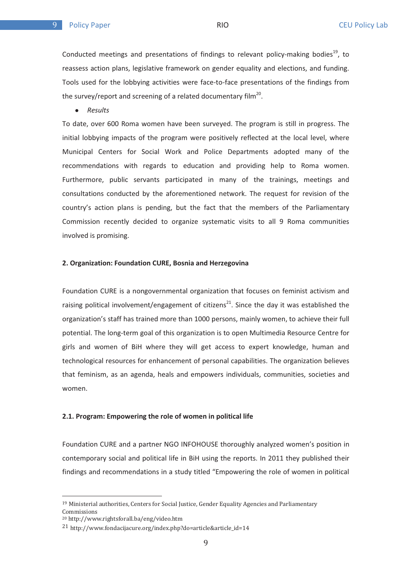$\mathbf{q}$ 

Conducted meetings and presentations of findings to relevant policy-making bodies<sup>19</sup>, to reassess action plans, legislative framework on gender equality and elections, and funding. Tools used for the lobbying activities were face-to-face presentations of the findings from the survey/report and screening of a related documentary film<sup>20</sup>.

 $\bullet$ *Results* 

To date, over 600 Roma women have been surveyed. The program is still in progress. The initial lobbying impacts of the program were positively reflected at the local level, where Municipal Centers for Social Work and Police Departments adopted many of the recommendations with regards to education and providing help to Roma women. Furthermore, public servants participated in many of the trainings, meetings and consultations conducted by the aforementioned network. The request for revision of the country's action plans is pending, but the fact that the members of the Parliamentary Commission recently decided to organize systematic visits to all 9 Roma communities involved is promising.

#### **2. Organization: Foundation CURE, Bosnia and Herzegovina**

Foundation CURE is a nongovernmental organization that focuses on feminist activism and raising political involvement/engagement of citizens<sup>21</sup>. Since the day it was established the organization's staff has trained more than 1000 persons, mainly women, to achieve their full potential. The long-term goal of this organization is to open Multimedia Resource Centre for girls and women of BiH where they will get access to expert knowledge, human and technological resources for enhancement of personal capabilities. The organization believes that feminism, as an agenda, heals and empowers individuals, communities, societies and women.

#### **2.1. Program: Empowering the role of women in political life**

Foundation CURE and a partner NGO INFOHOUSE thoroughly analyzed women's position in contemporary social and political life in BiH using the reports. In 2011 they published their findings and recommendations in a study titled "Empowering the role of women in political

<sup>&</sup>lt;sup>19</sup> Ministerial authorities, Centers for Social Justice, Gender Equality Agencies and Parliamentary **Commissions** 

<sup>&</sup>lt;sup>20</sup> http://www.rightsforall.ba/eng/video.htm

the comparation of the complete the complete three complete that is a set of the complete three complete three complete  $14-14$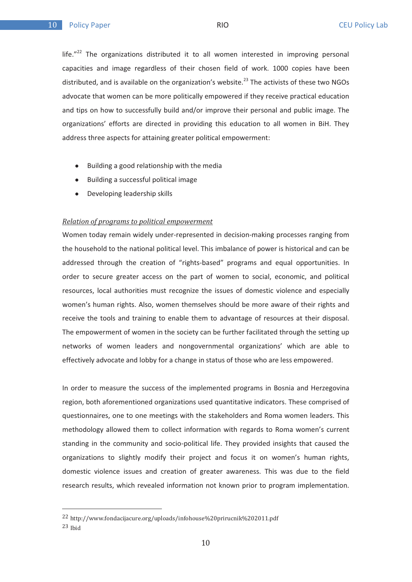life. $"^{22}$  The organizations distributed it to all women interested in improving personal capacities and image regardless of their chosen field of work. 1000 copies have been distributed, and is available on the organization's website.<sup>23</sup> The activists of these two NGOs advocate that women can be more politically empowered if they receive practical education and tips on how to successfully build and/or improve their personal and public image. The organizations' efforts are directed in providing this education to all women in BiH. They address three aspects for attaining greater political empowerment:

- $\bullet$ Building a good relationship with the media
- $\bullet$ Building a successful political image
- $\bullet$ Developing leadership skills

#### *Relation of programs to political empowerment*

Women today remain widely under-represented in decision-making processes ranging from the household to the national political level. This imbalance of power is historical and can be addressed through the creation of "rights-based" programs and equal opportunities. In order to secure greater access on the part of women to social, economic, and political resources, local authorities must recognize the issues of domestic violence and especially women's human rights. Also, women themselves should be more aware of their rights and receive the tools and training to enable them to advantage of resources at their disposal. The empowerment of women in the society can be further facilitated through the setting up networks of women leaders and nongovernmental organizations' which are able to effectively advocate and lobby for a change in status of those who are less empowered.

In order to measure the success of the implemented programs in Bosnia and Herzegovina region, both aforementioned organizations used quantitative indicators. These comprised of questionnaires, one to one meetings with the stakeholders and Roma women leaders. This methodology allowed them to collect information with regards to Roma women's current standing in the community and socio-political life. They provided insights that caused the organizations to slightly modify their project and focus it on women's human rights, domestic violence issues and creation of greater awareness. This was due to the field research results, which revealed information not known prior to program implementation.

<sup>&</sup>lt;sup>22</sup> http://www.fondacijacure.org/uploads/infohouse%20prirucnik%202011.pdf .<br>1. 113 x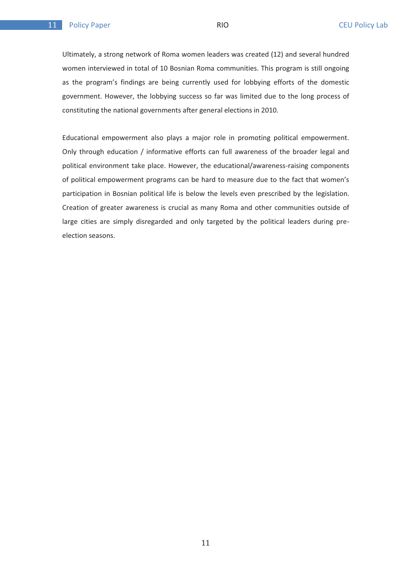$\overline{11}$ 

Ultimately, a strong network of Roma women leaders was created (12) and several hundred women interviewed in total of 10 Bosnian Roma communities. This program is still ongoing as the program's findings are being currently used for lobbying efforts of the domestic government. However, the lobbying success so far was limited due to the long process of constituting the national governments after general elections in 2010.

Educational empowerment also plays a major role in promoting political empowerment. Only through education / informative efforts can full awareness of the broader legal and political environment take place. However, the educational/awareness-raising components of political empowerment programs can be hard to measure due to the fact that women's participation in Bosnian political life is below the levels even prescribed by the legislation. Creation of greater awareness is crucial as many Roma and other communities outside of large cities are simply disregarded and only targeted by the political leaders during preelection seasons.

 $11$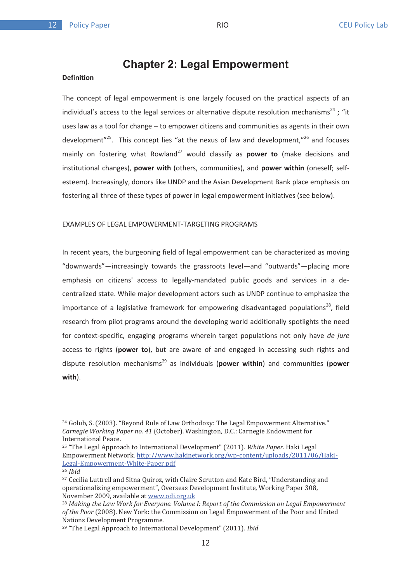# **Chapter 2: Legal Empowerment**

#### **Definition**

The concept of legal empowerment is one largely focused on the practical aspects of an individual's access to the legal services or alternative dispute resolution mechanisms<sup>24</sup> : "it uses law as a tool for change – to empower citizens and communities as agents in their own development $v^{25}$ . This concept lies "at the nexus of law and development," $^{26}$  and focuses mainly on fostering what Rowland<sup>27</sup> would classify as **power to** (make decisions and institutional changes), **power with** (others, communities), and **power within** (oneself; selfesteem). Increasingly, donors like UNDP and the Asian Development Bank place emphasis on fostering all three of these types of power in legal empowerment initiatives (see below).

## EXAMPLES OF LEGAL EMPOWERMENT-TARGETING PROGRAMS

In recent years, the burgeoning field of legal empowerment can be characterized as moving "downwards"—increasingly towards the grassroots level—and "outwards"—placing more emphasis on citizens' access to legally-mandated public goods and services in a decentralized state. While major development actors such as UNDP continue to emphasize the importance of a legislative framework for empowering disadvantaged populations<sup>28</sup>, field research from pilot programs around the developing world additionally spotlights the need for context-specific, engaging programs wherein target populations not only have *de jure* access to rights (**power to**), but are aware of and engaged in accessing such rights and dispute resolution mechanisms29 as individuals (**power within**) and communities (**power with**).

 $^{24}$  Golub, S. (2003). "Beyond Rule of Law Orthodoxy: The Legal Empowerment Alternative." Carnegie Working Paper no. 41 (October). Washington, D.C.: Carnegie Endowment for carriegie *Working 1* a

<sup>&</sup>lt;sup>25</sup> "The Legal Approach to International Development" (2011). *White Paper.* Haki Legal Empowerment Network. http://www.hakinetwork.org/wp-content/uploads/2011/06/Haki-Legal-Empowerment-White-Paper.pdf

<sup>26</sup> *Ibid* 27 *Coci* 

lia Luttrell and Sitna Quiroz, with Claire Scrutton and Kate Bird, "Understanding and operationalizing empowerment", Overseas Development Institute, Working Paper 308, Sperationalizing empowerment , o verseas B.<br>November 2009, available at <u>www.odi.org.uk</u>

<sup>&</sup>lt;sup>28</sup> Making the Law Work for Everyone. Volume I: Report of the Commission on Legal Empowerment *of the Poor (2008).* New York: the Commission on Legal Empowerment of the Poor and United by the Poor (2008). *Sy the 1 cor* (2000). Hen Torm the c

<sup>&</sup>lt;sup>29</sup> "The Legal Approach to International Development" (2011). *Ibid*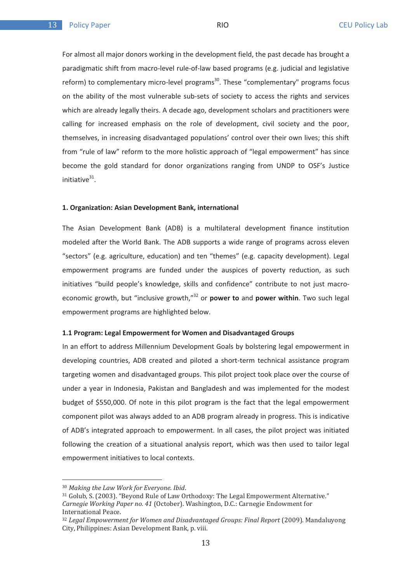For almost all major donors working in the development field, the past decade has brought a paradigmatic shift from macro-level rule-of-law based programs (e.g. judicial and legislative reform) to complementary micro-level programs<sup>30</sup>. These "complementary" programs focus on the ability of the most vulnerable sub-sets of society to access the rights and services which are already legally theirs. A decade ago, development scholars and practitioners were calling for increased emphasis on the role of development, civil society and the poor, themselves, in increasing disadvantaged populations' control over their own lives; this shift from "rule of law" reform to the more holistic approach of "legal empowerment" has since become the gold standard for donor organizations ranging from UNDP to OSF's Justice initiative $31$ .

#### **1. Organization: Asian Development Bank, international**

The Asian Development Bank (ADB) is a multilateral development finance institution modeled after the World Bank. The ADB supports a wide range of programs across eleven "sectors" (e.g. agriculture, education) and ten "themes" (e.g. capacity development). Legal empowerment programs are funded under the auspices of poverty reduction, as such initiatives "build people's knowledge, skills and confidence" contribute to not just macroeconomic growth, but "inclusive growth,"32 or **power to** and **power within**. Two such legal empowerment programs are highlighted below.

#### **1.1 Program: Legal Empowerment for Women and Disadvantaged Groups**

In an effort to address Millennium Development Goals by bolstering legal empowerment in developing countries, ADB created and piloted a short-term technical assistance program targeting women and disadvantaged groups. This pilot project took place over the course of under a year in Indonesia, Pakistan and Bangladesh and was implemented for the modest budget of \$550,000. Of note in this pilot program is the fact that the legal empowerment component pilot was always added to an ADB program already in progress. This is indicative of ADB's integrated approach to empowerment. In all cases, the pilot project was initiated following the creation of a situational analysis report, which was then used to tailor legal empowerment initiatives to local contexts.

<sup>&</sup>lt;sup>30</sup> Making the Law Work for Everyone. Ibid.

<sup>&</sup>lt;sup>31</sup> Golub, S. (2003). "Beyond Rule of Law Orthodoxy: The Legal Empowerment Alternative." Carnegie Working Paper no. 41 (October). Washington, D.C.: Carnegie Endowment for darnegre *Trorting* Pa

mer nationary cace.<br><sup>32</sup> Legal Empowerment for Women and Disadvantaged Groups: Final Report (2009). Mandaluyong Egui Empowerment for Weinen und Bleutuneus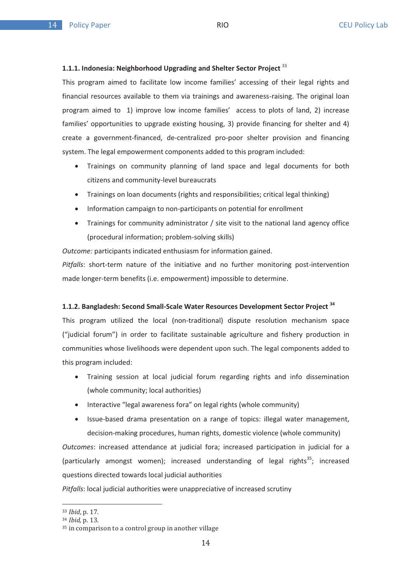## **1.1.1. Indonesia: Neighborhood Upgrading and Shelter Sector Project** <sup>33</sup>

This program aimed to facilitate low income families' accessing of their legal rights and financial resources available to them via trainings and awareness-raising. The original loan program aimed to 1) improve low income families' access to plots of land, 2) increase families' opportunities to upgrade existing housing, 3) provide financing for shelter and 4) create a government-financed, de-centralized pro-poor shelter provision and financing system. The legal empowerment components added to this program included:

- - Trainings on community planning of land space and legal documents for both citizens and community-level bureaucrats
- Trainings on loan documents (rights and responsibilities; critical legal thinking)
- $\bullet$ Information campaign to non-participants on potential for enrollment
- - Trainings for community administrator / site visit to the national land agency office (procedural information; problem-solving skills)

*Outcome:* participants indicated enthusiasm for information gained.

*Pitfalls*: short-term nature of the initiative and no further monitoring post-intervention made longer-term benefits (i.e. empowerment) impossible to determine.

#### **1.1.2. Bangladesh: Second Small-Scale Water Resources Development Sector Project <sup>34</sup>**

This program utilized the local (non-traditional) dispute resolution mechanism space ("judicial forum") in order to facilitate sustainable agriculture and fishery production in communities whose livelihoods were dependent upon such. The legal components added to this program included:

- $\bullet$  Training session at local judicial forum regarding rights and info dissemination (whole community; local authorities)
- -Interactive "legal awareness fora" on legal rights (whole community)
- - Issue-based drama presentation on a range of topics: illegal water management, decision-making procedures, human rights, domestic violence (whole community)

*Outcomes*: increased attendance at judicial fora; increased participation in judicial for a (particularly amongst women); increased understanding of legal rights<sup>35</sup>; increased questions directed towards local judicial authorities

*Pitfalls*: local judicial authorities were unappreciative of increased scrutiny

<sup>&</sup>lt;sup>33</sup> *Ibid*, p. 17.

<sup>&</sup>lt;sup>34</sup> *Ibid,* p. 13.

<sup>15</sup> in comparison to a control group in another village.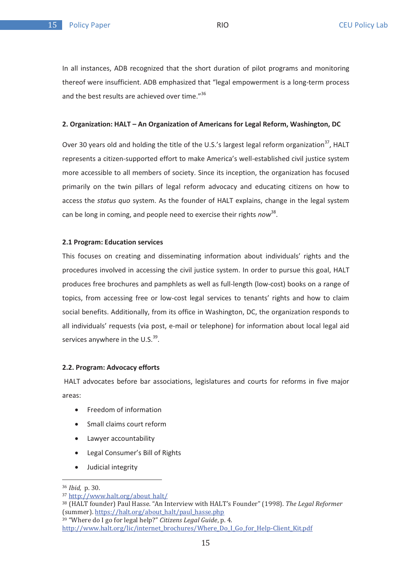In all instances, ADB recognized that the short duration of pilot programs and monitoring thereof were insufficient. ADB emphasized that "legal empowerment is a long-term process and the best results are achieved over time."<sup>36</sup>

#### **2. Organization: HALT – An Organization of Americans for Legal Reform, Washington, DC**

Over 30 years old and holding the title of the U.S.'s largest legal reform organization<sup>37</sup>, HALT represents a citizen-supported effort to make America's well-established civil justice system more accessible to all members of society. Since its inception, the organization has focused primarily on the twin pillars of legal reform advocacy and educating citizens on how to access the *status quo* system. As the founder of HALT explains, change in the legal system can be long in coming, and people need to exercise their rights *now*38.

#### **2.1 Program: Education services**

This focuses on creating and disseminating information about individuals' rights and the procedures involved in accessing the civil justice system. In order to pursue this goal, HALT produces free brochures and pamphlets as well as full-length (low-cost) books on a range of topics, from accessing free or low-cost legal services to tenants' rights and how to claim social benefits. Additionally, from its office in Washington, DC, the organization responds to all individuals' requests (via post, e-mail or telephone) for information about local legal aid services anywhere in the U.S. $^{39}$ .

#### **2.2. Program: Advocacy efforts**

 HALT advocates before bar associations, legislatures and courts for reforms in five major areas:

- $\bullet$ Freedom of information
- $\bullet$ Small claims court reform
- $\bullet$ Lawyer accountability
- -Legal Consumer's Bill of Rights
- -Judicial integrity

<sup>&</sup>lt;sup>36</sup> *Ibid*, p. 30.

 $\frac{1}{27}$  ktm //www.halt.org/about.halt/

<sup>&</sup>lt;sub>38</sub> (HALT founder) Paul Hasse. "An Interview with HALT's Founder" (1998). *The Legal Reformer* (cummor) https://halt.org/about.halt/naul.hasse.nhn <sup>39</sup> "Where do I go for legal help?" *Citizens Legal Guide*, p. 4.

where us is not regarded to the children begin white produced in the China Client Kit ndf<br>http://www.halt.org/lic/internet.hrochures/Where Do I Co for Help Client Kit ndf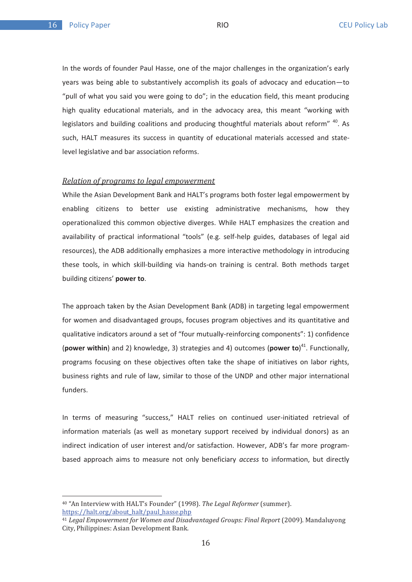In the words of founder Paul Hasse, one of the major challenges in the organization's early years was being able to substantively accomplish its goals of advocacy and education—to "pull of what you said you were going to do"; in the education field, this meant producing high quality educational materials, and in the advocacy area, this meant "working with legislators and building coalitions and producing thoughtful materials about reform" <sup>40</sup>. As such, HALT measures its success in quantity of educational materials accessed and statelevel legislative and bar association reforms.

## *Relation of programs to legal empowerment*

While the Asian Development Bank and HALT's programs both foster legal empowerment by enabling citizens to better use existing administrative mechanisms, how they operationalized this common objective diverges. While HALT emphasizes the creation and availability of practical informational "tools" (e.g. self-help guides, databases of legal aid resources), the ADB additionally emphasizes a more interactive methodology in introducing these tools, in which skill-building via hands-on training is central. Both methods target building citizens' **power to**.

The approach taken by the Asian Development Bank (ADB) in targeting legal empowerment for women and disadvantaged groups, focuses program objectives and its quantitative and qualitative indicators around a set of "four mutually-reinforcing components": 1) confidence (**power within**) and 2) knowledge, 3) strategies and 4) outcomes (**power to**) 41. Functionally, programs focusing on these objectives often take the shape of initiatives on labor rights, business rights and rule of law, similar to those of the UNDP and other major international funders.

In terms of measuring "success," HALT relies on continued user-initiated retrieval of information materials (as well as monetary support received by individual donors) as an indirect indication of user interest and/or satisfaction. However, ADB's far more programbased approach aims to measure not only beneficiary *access* to information, but directly

<sup>&</sup>lt;sup>40</sup> "An Interview with HALT's Founder" (1998). *The Legal Reformer* (summer). https://halt.org/about halt/paul hasse.php

<sup>11</sup> Legal Empowerment for Women and Disadvantaged Groups: Final Report (2009). Mandaluyong Ega Empowerment for Women and Bisat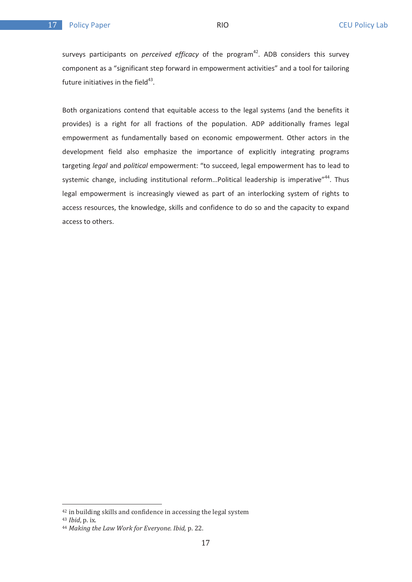surveys participants on *perceived efficacy* of the program<sup>42</sup>. ADB considers this survey component as a "significant step forward in empowerment activities" and a tool for tailoring future initiatives in the field $43$ .

Both organizations contend that equitable access to the legal systems (and the benefits it provides) is a right for all fractions of the population. ADP additionally frames legal empowerment as fundamentally based on economic empowerment. Other actors in the development field also emphasize the importance of explicitly integrating programs targeting *legal* and *political* empowerment: "to succeed, legal empowerment has to lead to systemic change, including institutional reform...Political leadership is imperative"<sup>44</sup>. Thus legal empowerment is increasingly viewed as part of an interlocking system of rights to access resources, the knowledge, skills and confidence to do so and the capacity to expand access to others.

 $42$  in building skills and confidence in accessing the legal system

<sup>&</sup>lt;sup>43</sup> *Ibid*, p. ix.

<sup>&</sup>lt;sup>44</sup> Making the Law Work for Everyone. Ibid, p. 22.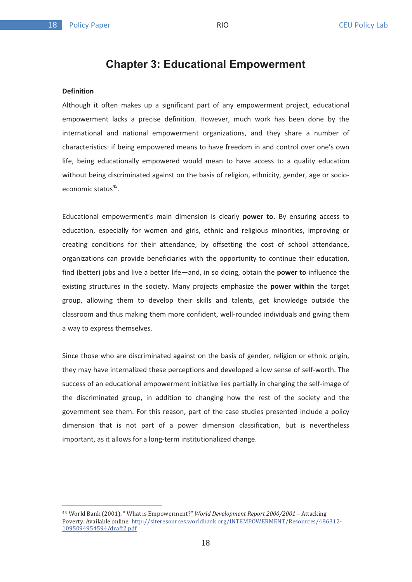# **Chapter 3: Educational Empowerment**

#### **Definition**

Although it often makes up a significant part of any empowerment project, educational empowerment lacks a precise definition. However, much work has been done by the international and national empowerment organizations, and they share a number of characteristics: if being empowered means to have freedom in and control over one's own life, being educationally empowered would mean to have access to a quality education without being discriminated against on the basis of religion, ethnicity, gender, age or socioeconomic status<sup>45</sup>.

Educational empowerment's main dimension is clearly **power to.** By ensuring access to education, especially for women and girls, ethnic and religious minorities, improving or creating conditions for their attendance, by offsetting the cost of school attendance, organizations can provide beneficiaries with the opportunity to continue their education, find (better) jobs and live a better life—and, in so doing, obtain the **power to** influence the existing structures in the society. Many projects emphasize the **power within** the target group, allowing them to develop their skills and talents, get knowledge outside the classroom and thus making them more confident, well-rounded individuals and giving them a way to express themselves.

Since those who are discriminated against on the basis of gender, religion or ethnic origin, they may have internalized these perceptions and developed a low sense of self-worth. The success of an educational empowerment initiative lies partially in changing the self-image of the discriminated group, in addition to changing how the rest of the society and the government see them. For this reason, part of the case studies presented include a policy dimension that is not part of a power dimension classification, but is nevertheless important, as it allows for a long-term institutionalized change.

<sup>&</sup>lt;sup>45</sup> World Bank (2001). "What is Empowerment?" *World Development Report 2000/2001* – Attacking world Bailin (2001). What is ampowerment: World Beverepment Report 2000) 2001 Tridenting<br>Poverty. Available online: http://siteresources.worldbank.org/INTEMPOWERMENT/Resources/486312-<u>1095094954594/draft2.pdf</u>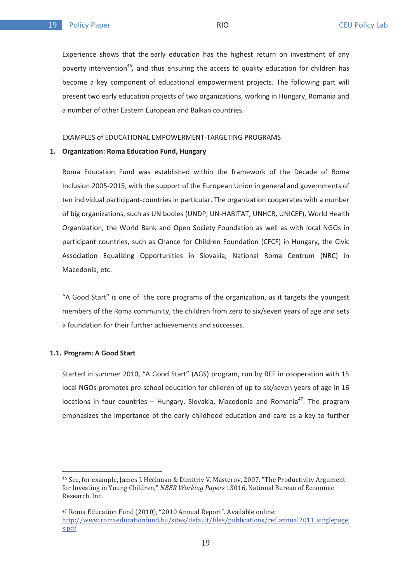Experience shows that the early education has the highest return on investment of any poverty intervention<sup>46</sup>, and thus ensuring the access to quality education for children has become a key component of educational empowerment projects. The following part will present two early education projects of two organizations, working in Hungary, Romania and a number of other Eastern European and Balkan countries.

#### EXAMPLES of EDUCATIONAL EMPOWERMENT-TARGETING PROGRAMS

#### **1. Organization: Roma Education Fund, Hungary**

Roma Education Fund was established within the framework of the Decade of Roma Inclusion 2005-2015, with the support of the European Union in general and governments of ten individual participant-countries in particular. The organization cooperates with a number of big organizations, such as UN bodies (UNDP, UN-HABITAT, UNHCR, UNICEF), World Health Organization, the World Bank and Open Society Foundation as well as with local NGOs in participant countries, such as Chance for Children Foundation (CFCF) in Hungary, the Civic Association Equalizing Opportunities in Slovakia, National Roma Centrum (NRC) in Macedonia, etc.

"A Good Start" is one of the core programs of the organization, as it targets the youngest members of the Roma community, the children from zero to six/seven years of age and sets a foundation for their further achievements and successes.

#### **1.1. Program: A Good Start**

Started in summer 2010, "A Good Start" (AGS) program, run by REF in cooperation with 15 local NGOs promotes pre-school education for children of up to six/seven years of age in 16 locations in four countries – Hungary, Slovakia, Macedonia and Romania<sup>47</sup>. The program emphasizes the importance of the early childhood education and care as a key to further

<sup>&</sup>lt;sup>46</sup> See, for example, James J. Heckman & Dimitriy V. Masterov, 2007. "The Productivity Argument for Investing in Young Children," *NBER Working Papers*, 13016, National Bureau of Economic ror *investing* ...<br>Research, Inc.

<sup>&</sup>lt;sup>47</sup> Roma Education Fund (2010), "2010 Annual Report". Available online: http://www.romaeducationfund.hu/sites/default/files/publications/ref\_annual2011\_singlepage  $rac{\mu}{\sigma}$ ndf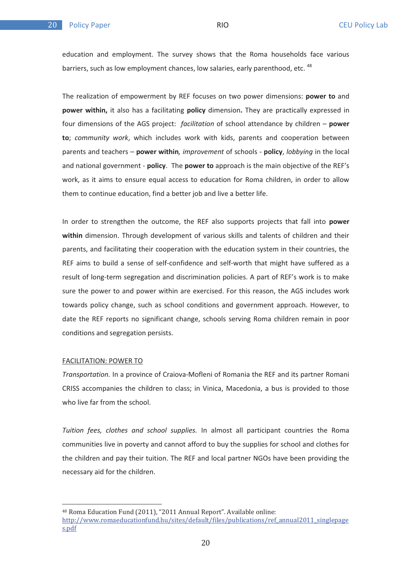education and employment. The survey shows that the Roma households face various barriers, such as low employment chances, low salaries, early parenthood, etc. <sup>48</sup>

The realization of empowerment by REF focuses on two power dimensions: **power to** and **power within,** it also has a facilitating **policy** dimension**.** They are practically expressed in four dimensions of the AGS project: *facilitation* of school attendance by children – **power to**; *community work*, which includes work with kids, parents and cooperation between parents and teachers – **power within***, improvement* of schools - **policy**, *lobbying* in the local and national government - **policy**. The **power to** approach is the main objective of the REF's work, as it aims to ensure equal access to education for Roma children, in order to allow them to continue education, find a better job and live a better life.

In order to strengthen the outcome, the REF also supports projects that fall into **power within** dimension. Through development of various skills and talents of children and their parents, and facilitating their cooperation with the education system in their countries, the REF aims to build a sense of self-confidence and self-worth that might have suffered as a result of long-term segregation and discrimination policies. A part of REF's work is to make sure the power to and power within are exercised. For this reason, the AGS includes work towards policy change, such as school conditions and government approach. However, to date the REF reports no significant change, schools serving Roma children remain in poor conditions and segregation persists.

#### FACILITATION: POWER TO

*Transportation.* In a province of Craiova-Mofleni of Romania the REF and its partner Romani CRISS accompanies the children to class; in Vinica, Macedonia, a bus is provided to those who live far from the school.

*Tuition fees, clothes and school supplies.* In almost all participant countries the Roma communities live in poverty and cannot afford to buy the supplies for school and clothes for the children and pay their tuition. The REF and local partner NGOs have been providing the necessary aid for the children.

<sup>&</sup>lt;sup>48</sup> Roma Education Fund (2011), "2011 Annual Report". Available online:

http://www.romaeducationfund.hu/sites/default/files/publications/ref\_annual2011\_singlepage  $rac{\mu}{\sigma}$ ndf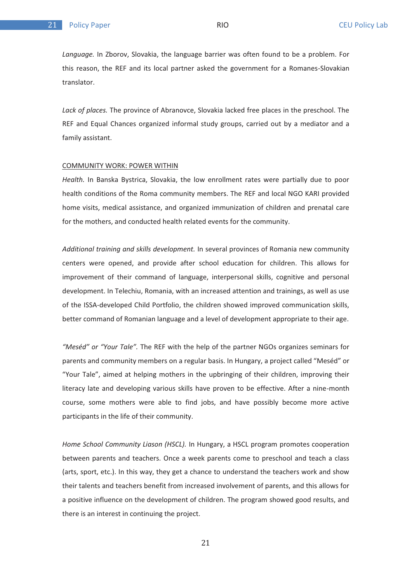*Language.* In Zborov, Slovakia, the language barrier was often found to be a problem. For this reason, the REF and its local partner asked the government for a Romanes-Slovakian translator.

*Lack of places.* The province of Abranovce, Slovakia lacked free places in the preschool. The REF and Equal Chances organized informal study groups, carried out by a mediator and a family assistant.

#### COMMUNITY WORK: POWER WITHIN

*Health.* In Banska Bystrica, Slovakia, the low enrollment rates were partially due to poor health conditions of the Roma community members. The REF and local NGO KARI provided home visits, medical assistance, and organized immunization of children and prenatal care for the mothers, and conducted health related events for the community.

*Additional training and skills development.* In several provinces of Romania new community centers were opened, and provide after school education for children. This allows for improvement of their command of language, interpersonal skills, cognitive and personal development. In Telechiu, Romania, with an increased attention and trainings, as well as use of the ISSA-developed Child Portfolio, the children showed improved communication skills, better command of Romanian language and a level of development appropriate to their age.

*"Meséd" or "Your Tale".* The REF with the help of the partner NGOs organizes seminars for parents and community members on a regular basis. In Hungary, a project called "Meséd" or "Your Tale", aimed at helping mothers in the upbringing of their children, improving their literacy late and developing various skills have proven to be effective. After a nine-month course, some mothers were able to find jobs, and have possibly become more active participants in the life of their community.

*Home School Community Liason (HSCL).* In Hungary, a HSCL program promotes cooperation between parents and teachers. Once a week parents come to preschool and teach a class (arts, sport, etc.). In this way, they get a chance to understand the teachers work and show their talents and teachers benefit from increased involvement of parents, and this allows for a positive influence on the development of children. The program showed good results, and there is an interest in continuing the project.

21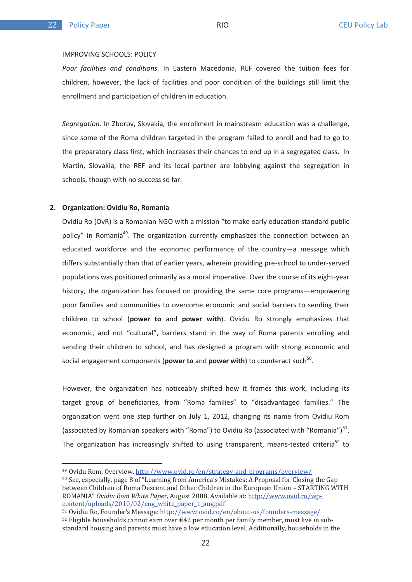#### IMPROVING SCHOOLS: POLICY

*Poor facilities and conditions.* In Eastern Macedonia, REF covered the tuition fees for children, however, the lack of facilities and poor condition of the buildings still limit the enrollment and participation of children in education.

*Segregation.* In Zborov, Slovakia, the enrollment in mainstream education was a challenge, since some of the Roma children targeted in the program failed to enroll and had to go to the preparatory class first, which increases their chances to end up in a segregated class. In Martin, Slovakia, the REF and its local partner are lobbying against the segregation in schools, though with no success so far.

#### **2. Organization: Ovidiu Ro, Romania**

Ovidiu Ro (OvR) is a Romanian NGO with a mission "to make early education standard public policy" in Romania<sup>49</sup>. The organization currently emphasizes the connection between an educated workforce and the economic performance of the country—a message which differs substantially than that of earlier years, wherein providing pre-school to under-served populations was positioned primarily as a moral imperative. Over the course of its eight-year history, the organization has focused on providing the same core programs—empowering poor families and communities to overcome economic and social barriers to sending their children to school (**power to** and **power with**). Ovidiu Ro strongly emphasizes that economic, and not "cultural", barriers stand in the way of Roma parents enrolling and sending their children to school, and has designed a program with strong economic and social engagement components (**power to** and **power with**) to counteract such<sup>50</sup>.

However, the organization has noticeably shifted how it frames this work, including its target group of beneficiaries, from "Roma families" to "disadvantaged families." The organization went one step further on July 1, 2012, changing its name from Ovidiu Rom (associated by Romanian speakers with "Roma") to Ovidiu Ro (associated with "Romania")<sup>51</sup>. The organization has increasingly shifted to using transparent, means-tested criteria<sup>52</sup> to

<sup>&</sup>lt;sup>49</sup> Ovidu Rom, Overview. <u>http://www.ovid.ro/en/strategy-and-programs/overview/</u>

<sup>&</sup>lt;sub>50</sub> See, especially, page 8 of "Learning from America's Mistakes: A Proposal for Closing the Gap between Children of Roma Descent and Other Children in the European Union – STARTING WITH ectrical annui on of roma *Besecht* and other annui on in the Baropean onton Torrittin<br>ROMANIA" *Ovidiu Rom White Paper*, August 2008. Available at: <u>http://www.ovid.ro/wp</u>content/unloads/2010/02/eng white naper 1 august f

<sup>&</sup>lt;u>toment, aprodus, 2010, or, or, or, or, or, or, and a disperit algiper.</u><br><sup>51</sup> Ovidiu Ro, Founder's Message: http://www.ovid.ro/en/about-us/founders-message/

 $\frac{1}{2}$  Eligible households cannot earn over  $\epsilon$ 42 per month per family member, must live in sub- $\frac{1}{2}$  and  $\frac{1}{2}$  and  $\frac{1}{2}$  and  $\frac{1}{2}$  and  $\frac{1}{2}$  and  $\frac{1}{2}$  and  $\frac{1}{2}$  and  $\frac{1}{2}$  and  $\frac{1}{2}$  and  $\frac{1}{2}$  and  $\frac{1}{2}$  and  $\frac{1}{2}$  and  $\frac{1}{2}$  and  $\frac{1}{2}$  and  $\frac{1}{2}$  and  $\frac{1}{2}$  a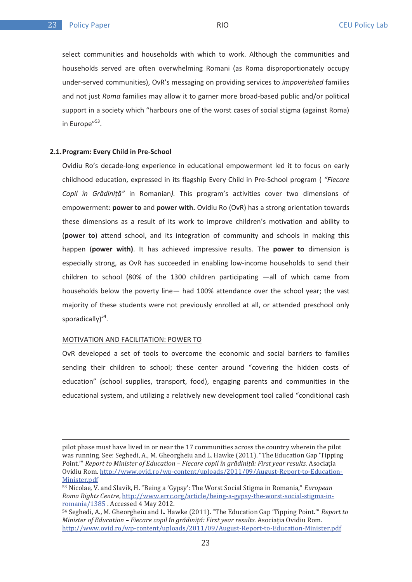$2<sub>2</sub>$ 

select communities and households with which to work. Although the communities and households served are often overwhelming Romani (as Roma disproportionately occupy under-served communities), OvR's messaging on providing services to *impoverished* families and not just *Roma* families may allow it to garner more broad-based public and/or political support in a society which "harbours one of the worst cases of social stigma (against Roma) in Europe"<sup>53</sup>.

#### **2.1.Program: Every Child in Pre-School**

Ovidiu Ro's decade-long experience in educational empowerment led it to focus on early childhood education, expressed in its flagship Every Child in Pre-School program ( *"Fiecare*  Copil în Grădiniță" in Romanian). This program's activities cover two dimensions of empowerment: **power to** and **power with.** Ovidiu Ro (OvR) has a strong orientation towards these dimensions as a result of its work to improve children's motivation and ability to (**power to**) attend school, and its integration of community and schools in making this happen (**power with)**. It has achieved impressive results. The **power to** dimension is especially strong, as OvR has succeeded in enabling low-income households to send their children to school (80% of the 1300 children participating —all of which came from households below the poverty line— had 100% attendance over the school year; the vast majority of these students were not previously enrolled at all, or attended preschool only sporadically $)^{54}$ .

#### MOTIVATION AND FACILITATION: POWER TO

OvR developed a set of tools to overcome the economic and social barriers to families sending their children to school; these center around "covering the hidden costs of education" (school supplies, transport, food), engaging parents and communities in the educational system, and utilizing a relatively new development tool called "conditional cash

pilot phase must have lived in or near the 17 communities across the country wherein the pilot phot phase mast have noted in or hear and 17 communities across are country wherein are phot<br>was running. See: Seghedi, A., M. Gheorgheiu and L. Hawke (2011). "The Education Gap 'Tipping *Mas Famming, seer segnear, in, in ancorgileia and al namile (2011). The Badeddon dap Tippi.*<br>Point.'" Report to Minister of Education – Fiecare copil în grădiniță: First year results. Asociația ovidiu Rom. http://www.ovid.ro/wp-content/uploads/2011/09/August-Report-to-Educationoviara riom.<br>Minister.pdf

<sup>&#</sup>x27;,<-6B &-96? "-!R0FFM(8--!--6#*European Roma Rights Centre, http://www.errc.org/article/being-a-gypsy-the-worst-social-stigma-in*noma nights centre, <u>http://www.chrek</u><br>romania/1385 . Accessed 4 May 2012.

<sup>1.</sup> Seghedi, A., M. Gheorgheiu and L. Hawke (2011). "The Education Gap 'Tipping Point.'" *Report to Minister of Education – Fiecare copil în grădiniță: First year results.*-Asociația Ovidiu Rom.<br>
<sub>Minister of Education – Fiecare copil în grădiniță: First year results. Asociația Ovidiu Rom.</sub>  $\frac{1}{\sqrt{2}}$  . Thus we will be a set of the set of the set of the set of the set of the set of the set of the set of the set of the set of the set of the set of the set of the set of the set of the set of the set of the s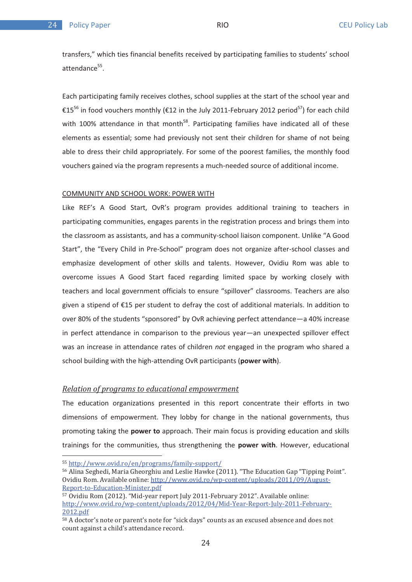transfers," which ties financial benefits received by participating families to students' school attendance<sup>55</sup>.

Each participating family receives clothes, school supplies at the start of the school year and €15<sup>56</sup> in food vouchers monthly (€12 in the July 2011-February 2012 period<sup>57</sup>) for each child with 100% attendance in that month<sup>58</sup>. Participating families have indicated all of these elements as essential; some had previously not sent their children for shame of not being able to dress their child appropriately. For some of the poorest families, the monthly food vouchers gained via the program represents a much-needed source of additional income.

#### COMMUNITY AND SCHOOL WORK: POWER WITH

Like REF's A Good Start, OvR's program provides additional training to teachers in participating communities, engages parents in the registration process and brings them into the classroom as assistants, and has a community-school liaison component. Unlike "A Good Start", the "Every Child in Pre-School" program does not organize after-school classes and emphasize development of other skills and talents. However, Ovidiu Rom was able to overcome issues A Good Start faced regarding limited space by working closely with teachers and local government officials to ensure "spillover" classrooms. Teachers are also given a stipend of €15 per student to defray the cost of additional materials. In addition to over 80% of the students "sponsored" by OvR achieving perfect attendance—a 40% increase in perfect attendance in comparison to the previous year—an unexpected spillover effect was an increase in attendance rates of children *not* engaged in the program who shared a school building with the high-attending OvR participants (**power with**).

#### *Relation of programs to educational empowerment*

The education organizations presented in this report concentrate their efforts in two dimensions of empowerment. They lobby for change in the national governments, thus promoting taking the **power to** approach. Their main focus is providing education and skills trainings for the communities, thus strengthening the **power with**. However, educational

<sup>&</sup>lt;sup>55</sup> http://www.ovid.ro/en/programs/family-support/

<sup>&</sup>lt;sup>56</sup> Alina Seghedi, Maria Gheorghiu and Leslie Hawke (2011). "The Education Gap "Tipping Point". ovidiu Rom. Available online: http://www.ovid.ro/wp-content/uploads/2011/09/August-Report-to-Education-Minister.pdf

<sup>&</sup>lt;u>so port to Baucadon Annocempar</u><br>57 Ovidiu Rom (2012). "Mid-year report July 2011-February 2012". Available online: ovidia Rom (2012). This year report jary 2011 Test any 2012. Trivaliable of three.<br>http://www.ovid.ro/wp-content/uploads/2012/04/Mid-Year-Report-July-2011-February- $\frac{mnp}{2012.pdf}$ 

<sup>&#</sup>x27;-MM"-9F#7 count against a child's attendance record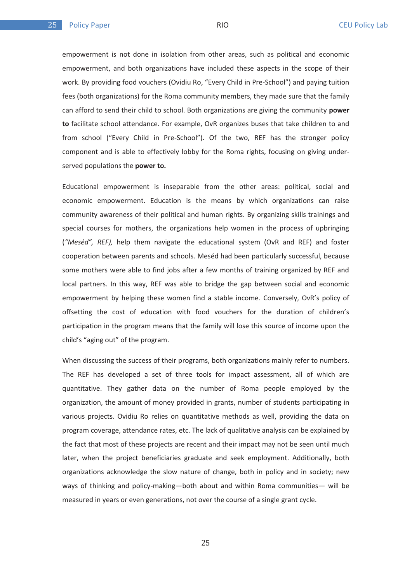empowerment is not done in isolation from other areas, such as political and economic empowerment, and both organizations have included these aspects in the scope of their work. By providing food vouchers (Ovidiu Ro, "Every Child in Pre-School") and paying tuition fees (both organizations) for the Roma community members, they made sure that the family can afford to send their child to school. Both organizations are giving the community **power to** facilitate school attendance. For example, OvR organizes buses that take children to and from school ("Every Child in Pre-School"). Of the two, REF has the stronger policy component and is able to effectively lobby for the Roma rights, focusing on giving underserved populations the **power to.** 

Educational empowerment is inseparable from the other areas: political, social and economic empowerment. Education is the means by which organizations can raise community awareness of their political and human rights. By organizing skills trainings and special courses for mothers, the organizations help women in the process of upbringing (*"Meséd", REF),* help them navigate the educational system (OvR and REF) and foster cooperation between parents and schools. Meséd had been particularly successful, because some mothers were able to find jobs after a few months of training organized by REF and local partners. In this way, REF was able to bridge the gap between social and economic empowerment by helping these women find a stable income. Conversely, OvR's policy of offsetting the cost of education with food vouchers for the duration of children's participation in the program means that the family will lose this source of income upon the child's "aging out" of the program.

When discussing the success of their programs, both organizations mainly refer to numbers. The REF has developed a set of three tools for impact assessment, all of which are quantitative. They gather data on the number of Roma people employed by the organization, the amount of money provided in grants, number of students participating in various projects. Ovidiu Ro relies on quantitative methods as well, providing the data on program coverage, attendance rates, etc. The lack of qualitative analysis can be explained by the fact that most of these projects are recent and their impact may not be seen until much later, when the project beneficiaries graduate and seek employment. Additionally, both organizations acknowledge the slow nature of change, both in policy and in society; new ways of thinking and policy-making—both about and within Roma communities— will be measured in years or even generations, not over the course of a single grant cycle.

25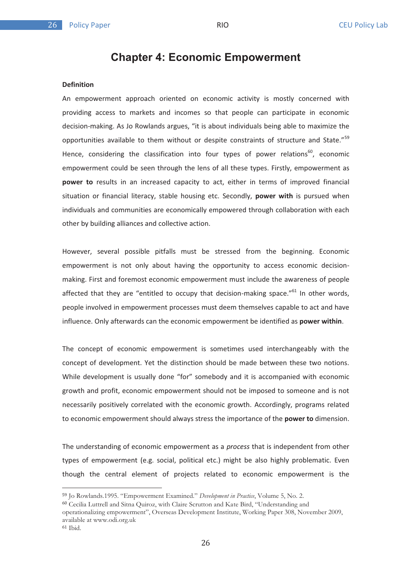\*/

# **Chapter 4: Economic Empowerment**

## **Definition**

An empowerment approach oriented on economic activity is mostly concerned with providing access to markets and incomes so that people can participate in economic decision-making. As Jo Rowlands argues, "it is about individuals being able to maximize the opportunities available to them without or despite constraints of structure and State."<sup>59</sup> Hence, considering the classification into four types of power relations<sup>60</sup>, economic empowerment could be seen through the lens of all these types. Firstly, empowerment as **power to** results in an increased capacity to act, either in terms of improved financial situation or financial literacy, stable housing etc. Secondly, **power with** is pursued when individuals and communities are economically empowered through collaboration with each other by building alliances and collective action.

However, several possible pitfalls must be stressed from the beginning. Economic empowerment is not only about having the opportunity to access economic decisionmaking. First and foremost economic empowerment must include the awareness of people affected that they are "entitled to occupy that decision-making space." $61$  In other words, people involved in empowerment processes must deem themselves capable to act and have influence. Only afterwards can the economic empowerment be identified as **power within**.

The concept of economic empowerment is sometimes used interchangeably with the concept of development. Yet the distinction should be made between these two notions. While development is usually done "for" somebody and it is accompanied with economic growth and profit, economic empowerment should not be imposed to someone and is not necessarily positively correlated with the economic growth. Accordingly, programs related to economic empowerment should always stress the importance of the **power to** dimension.

The understanding of economic empowerment as a *process* that is independent from other types of empowerment (e.g. social, political etc.) might be also highly problematic. Even though the central element of projects related to economic empowerment is the

<sup>&</sup>lt;sup>59</sup> Jo Rowlands.1995. "Empowerment Examined." *Development in Practice*, Volume 5, No. 2.

Cecilia Luttrell and Sitna Quiroz, with Claire Scrutton and Kate Bird, "Understanding and

operationalizing empowerment", Overseas Development Institute, Working Paper 308, November 2009, available at www.odi.org.uk

 $61$  Ibid.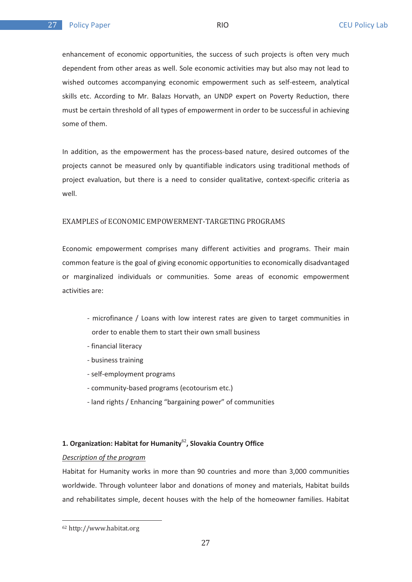enhancement of economic opportunities, the success of such projects is often very much dependent from other areas as well. Sole economic activities may but also may not lead to wished outcomes accompanying economic empowerment such as self-esteem, analytical skills etc. According to Mr. Balazs Horvath, an UNDP expert on Poverty Reduction, there must be certain threshold of all types of empowerment in order to be successful in achieving some of them.

In addition, as the empowerment has the process-based nature, desired outcomes of the projects cannot be measured only by quantifiable indicators using traditional methods of project evaluation, but there is a need to consider qualitative, context-specific criteria as well.

#### EXAMPLES of ECONOMIC EMPOWERMENT-TARGETING PROGRAMS

Economic empowerment comprises many different activities and programs. Their main common feature is the goal of giving economic opportunities to economically disadvantaged or marginalized individuals or communities. Some areas of economic empowerment activities are:

- microfinance / Loans with low interest rates are given to target communities in order to enable them to start their own small business
- financial literacy
- business training
- self-employment programs
- community-based programs (ecotourism etc.)
- land rights / Enhancing "bargaining power" of communities

## **1. Organization: Habitat for Humanity**<sup>62</sup>**, Slovakia Country Office**

#### *Description of the program*

Habitat for Humanity works in more than 90 countries and more than 3,000 communities worldwide. Through volunteer labor and donations of money and materials, Habitat builds and rehabilitates simple, decent houses with the help of the homeowner families. Habitat

 $62 \text{ http://www.hahitat.org}$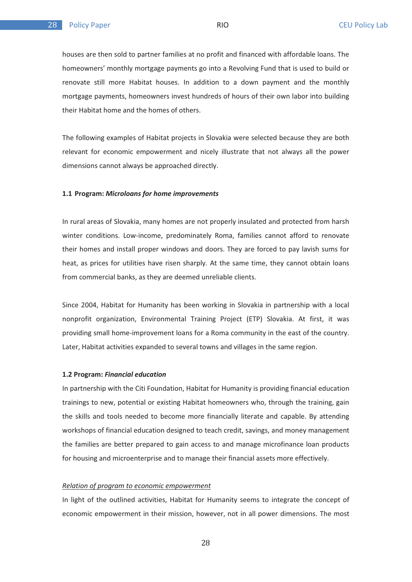houses are then sold to partner families at no profit and financed with affordable loans. The homeowners' monthly mortgage payments go into a Revolving Fund that is used to build or renovate still more Habitat houses. In addition to a down payment and the monthly mortgage payments, homeowners invest hundreds of hours of their own labor into building their Habitat home and the homes of others.

The following examples of Habitat projects in Slovakia were selected because they are both relevant for economic empowerment and nicely illustrate that not always all the power dimensions cannot always be approached directly.

#### **1.1 Program:** *Microloans for home improvements*

In rural areas of Slovakia, many homes are not properly insulated and protected from harsh winter conditions. Low-income, predominately Roma, families cannot afford to renovate their homes and install proper windows and doors. They are forced to pay lavish sums for heat, as prices for utilities have risen sharply. At the same time, they cannot obtain loans from commercial banks, as they are deemed unreliable clients.

Since 2004, Habitat for Humanity has been working in Slovakia in partnership with a local nonprofit organization, Environmental Training Project (ETP) Slovakia. At first, it was providing small home-improvement loans for a Roma community in the east of the country. Later, Habitat activities expanded to several towns and villages in the same region.

#### **1.2 Program:** *Financial education*

In partnership with the Citi Foundation, Habitat for Humanity is providing financial education trainings to new, potential or existing Habitat homeowners who, through the training, gain the skills and tools needed to become more financially literate and capable. By attending workshops of financial education designed to teach credit, savings, and money management the families are better prepared to gain access to and manage microfinance loan products for housing and microenterprise and to manage their financial assets more effectively.

#### *Relation of program to economic empowerment*

In light of the outlined activities, Habitat for Humanity seems to integrate the concept of economic empowerment in their mission, however, not in all power dimensions. The most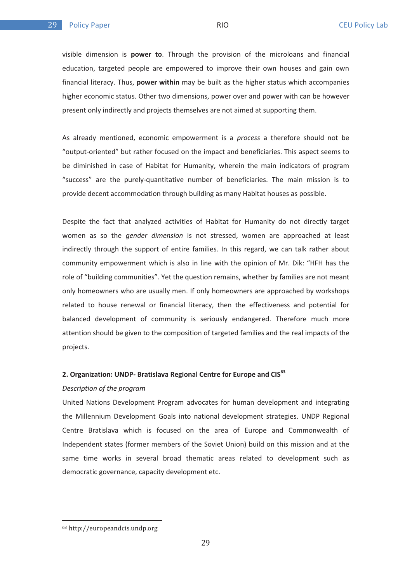visible dimension is **power to**. Through the provision of the microloans and financial education, targeted people are empowered to improve their own houses and gain own financial literacy. Thus, **power within** may be built as the higher status which accompanies higher economic status. Other two dimensions, power over and power with can be however present only indirectly and projects themselves are not aimed at supporting them.

As already mentioned, economic empowerment is a *process* a therefore should not be "output-oriented" but rather focused on the impact and beneficiaries. This aspect seems to be diminished in case of Habitat for Humanity, wherein the main indicators of program "success" are the purely-quantitative number of beneficiaries. The main mission is to provide decent accommodation through building as many Habitat houses as possible.

Despite the fact that analyzed activities of Habitat for Humanity do not directly target women as so the *gender dimension* is not stressed, women are approached at least indirectly through the support of entire families. In this regard, we can talk rather about community empowerment which is also in line with the opinion of Mr. Dik: "HFH has the role of "building communities". Yet the question remains, whether by families are not meant only homeowners who are usually men. If only homeowners are approached by workshops related to house renewal or financial literacy, then the effectiveness and potential for balanced development of community is seriously endangered. Therefore much more attention should be given to the composition of targeted families and the real impacts of the projects.

#### **2. Organization: UNDP- Bratislava Regional Centre for Europe and CIS63**

#### *Description of the program*

United Nations Development Program advocates for human development and integrating the Millennium Development Goals into national development strategies. UNDP Regional Centre Bratislava which is focused on the area of Europe and Commonwealth of Independent states (former members of the Soviet Union) build on this mission and at the same time works in several broad thematic areas related to development such as democratic governance, capacity development etc.

 $\frac{63}{2}$  http://ouropoondeis.undp.org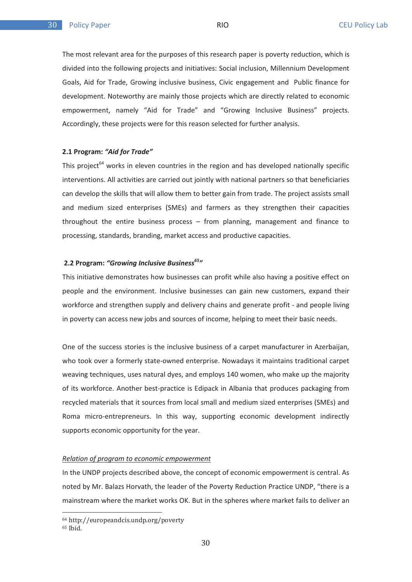The most relevant area for the purposes of this research paper is poverty reduction, which is divided into the following projects and initiatives: Social inclusion, Millennium Development Goals, Aid for Trade, Growing inclusive business, Civic engagement and Public finance for development. Noteworthy are mainly those projects which are directly related to economic empowerment, namely "Aid for Trade" and "Growing Inclusive Business" projects. Accordingly, these projects were for this reason selected for further analysis.

#### **2.1 Program:** *"Aid for Trade"*

This project<sup>64</sup> works in eleven countries in the region and has developed nationally specific interventions. All activities are carried out jointly with national partners so that beneficiaries can develop the skills that will allow them to better gain from trade. The project assists small and medium sized enterprises (SMEs) and farmers as they strengthen their capacities throughout the entire business process – from planning, management and finance to processing, standards, branding, market access and productive capacities.

## 2.2 Program: "Growing Inclusive Business<sup>65</sup>"

This initiative demonstrates how businesses can profit while also having a positive effect on people and the environment. Inclusive businesses can gain new customers, expand their workforce and strengthen supply and delivery chains and generate profit - and people living in poverty can access new jobs and sources of income, helping to meet their basic needs.

One of the success stories is the inclusive business of a carpet manufacturer in Azerbaijan, who took over a formerly state-owned enterprise. Nowadays it maintains traditional carpet weaving techniques, uses natural dyes, and employs 140 women, who make up the majority of its workforce. Another best-practice is Edipack in Albania that produces packaging from recycled materials that it sources from local small and medium sized enterprises (SMEs) and Roma micro-entrepreneurs. In this way, supporting economic development indirectly supports economic opportunity for the year.

#### *Relation of program to economic empowerment*

In the UNDP projects described above, the concept of economic empowerment is central. As noted by Mr. Balazs Horvath, the leader of the Poverty Reduction Practice UNDP, "there is a mainstream where the market works OK. But in the spheres where market fails to deliver an

<sup>&</sup>lt;sup>64</sup> http://europeandcis.undp.org/poverty بىيىسى<br>- 65 Ibid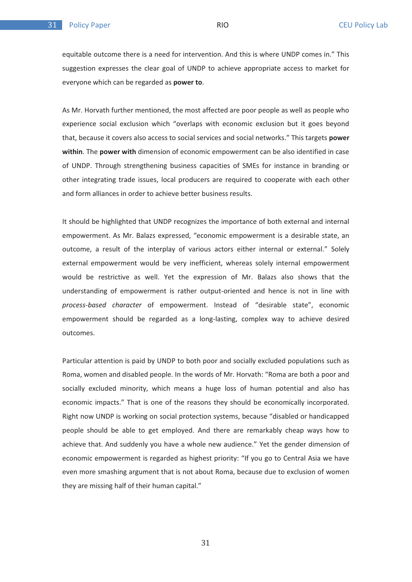equitable outcome there is a need for intervention. And this is where UNDP comes in." This suggestion expresses the clear goal of UNDP to achieve appropriate access to market for everyone which can be regarded as **power to**.

As Mr. Horvath further mentioned, the most affected are poor people as well as people who experience social exclusion which "overlaps with economic exclusion but it goes beyond that, because it covers also access to social services and social networks." This targets **power within**. The **power with** dimension of economic empowerment can be also identified in case of UNDP. Through strengthening business capacities of SMEs for instance in branding or other integrating trade issues, local producers are required to cooperate with each other and form alliances in order to achieve better business results.

It should be highlighted that UNDP recognizes the importance of both external and internal empowerment. As Mr. Balazs expressed, "economic empowerment is a desirable state, an outcome, a result of the interplay of various actors either internal or external." Solely external empowerment would be very inefficient, whereas solely internal empowerment would be restrictive as well. Yet the expression of Mr. Balazs also shows that the understanding of empowerment is rather output-oriented and hence is not in line with *process-based character* of empowerment. Instead of "desirable state", economic empowerment should be regarded as a long-lasting, complex way to achieve desired outcomes.

Particular attention is paid by UNDP to both poor and socially excluded populations such as Roma, women and disabled people. In the words of Mr. Horvath: "Roma are both a poor and socially excluded minority, which means a huge loss of human potential and also has economic impacts." That is one of the reasons they should be economically incorporated. Right now UNDP is working on social protection systems, because "disabled or handicapped people should be able to get employed. And there are remarkably cheap ways how to achieve that. And suddenly you have a whole new audience." Yet the gender dimension of economic empowerment is regarded as highest priority: "If you go to Central Asia we have even more smashing argument that is not about Roma, because due to exclusion of women they are missing half of their human capital."

31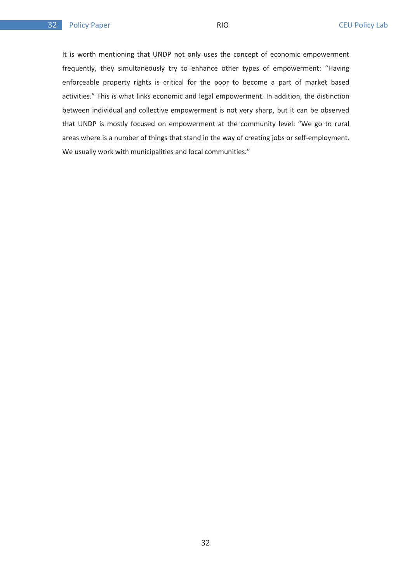It is worth mentioning that UNDP not only uses the concept of economic empowerment frequently, they simultaneously try to enhance other types of empowerment: "Having enforceable property rights is critical for the poor to become a part of market based activities." This is what links economic and legal empowerment. In addition, the distinction between individual and collective empowerment is not very sharp, but it can be observed that UNDP is mostly focused on empowerment at the community level: "We go to rural areas where is a number of things that stand in the way of creating jobs or self-employment. We usually work with municipalities and local communities."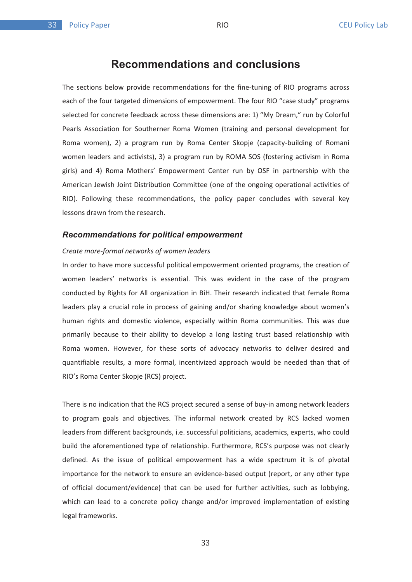$22<sub>2</sub>$ 

# **Recommendations and conclusions**

The sections below provide recommendations for the fine-tuning of RIO programs across each of the four targeted dimensions of empowerment. The four RIO "case study" programs selected for concrete feedback across these dimensions are: 1) "My Dream," run by Colorful Pearls Association for Southerner Roma Women (training and personal development for Roma women), 2) a program run by Roma Center Skopje (capacity-building of Romani women leaders and activists), 3) a program run by ROMA SOS (fostering activism in Roma girls) and 4) Roma Mothers' Empowerment Center run by OSF in partnership with the American Jewish Joint Distribution Committee (one of the ongoing operational activities of RIO). Following these recommendations, the policy paper concludes with several key lessons drawn from the research.

#### *Recommendations for political empowerment*

#### *Create more-formal networks of women leaders*

In order to have more successful political empowerment oriented programs, the creation of women leaders' networks is essential. This was evident in the case of the program conducted by Rights for All organization in BiH. Their research indicated that female Roma leaders play a crucial role in process of gaining and/or sharing knowledge about women's human rights and domestic violence, especially within Roma communities. This was due primarily because to their ability to develop a long lasting trust based relationship with Roma women. However, for these sorts of advocacy networks to deliver desired and quantifiable results, a more formal, incentivized approach would be needed than that of RIO's Roma Center Skopje (RCS) project.

There is no indication that the RCS project secured a sense of buy-in among network leaders to program goals and objectives. The informal network created by RCS lacked women leaders from different backgrounds, i.e. successful politicians, academics, experts, who could build the aforementioned type of relationship. Furthermore, RCS's purpose was not clearly defined. As the issue of political empowerment has a wide spectrum it is of pivotal importance for the network to ensure an evidence-based output (report, or any other type of official document/evidence) that can be used for further activities, such as lobbying, which can lead to a concrete policy change and/or improved implementation of existing legal frameworks.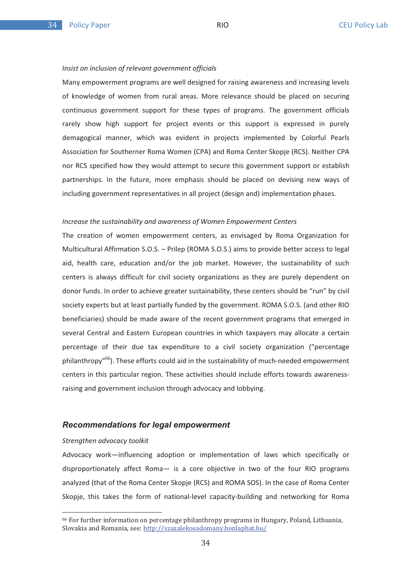#### *Insist on inclusion of relevant government officials*

Many empowerment programs are well designed for raising awareness and increasing levels of knowledge of women from rural areas. More relevance should be placed on securing continuous government support for these types of programs. The government officials rarely show high support for project events or this support is expressed in purely demagogical manner, which was evident in projects implemented by Colorful Pearls Association for Southerner Roma Women (CPA) and Roma Center Skopje (RCS). Neither CPA nor RCS specified how they would attempt to secure this government support or establish partnerships. In the future, more emphasis should be placed on devising new ways of including government representatives in all project (design and) implementation phases.

#### *Increase the sustainability and awareness of Women Empowerment Centers*

The creation of women empowerment centers, as envisaged by Roma Organization for Multicultural Affirmation S.O.S. – Prilep (ROMA S.O.S.) aims to provide better access to legal aid, health care, education and/or the job market. However, the sustainability of such centers is always difficult for civil society organizations as they are purely dependent on donor funds. In order to achieve greater sustainability, these centers should be "run" by civil society experts but at least partially funded by the government. ROMA S.O.S. (and other RIO beneficiaries) should be made aware of the recent government programs that emerged in several Central and Eastern European countries in which taxpayers may allocate a certain percentage of their due tax expenditure to a civil society organization ("percentage philanthropy"66). These efforts could aid in the sustainability of much-needed empowerment centers in this particular region. These activities should include efforts towards awarenessraising and government inclusion through advocacy and lobbying.

#### *Recommendations for legal empowerment*

#### *Strengthen advocacy toolkit*

Advocacy work—influencing adoption or implementation of laws which specifically or disproportionately affect Roma— is a core objective in two of the four RIO programs analyzed (that of the Roma Center Skopje (RCS) and ROMA SOS). In the case of Roma Center Skopje, this takes the form of national-level capacity-building and networking for Roma

 $66$  For further information on percentage philanthropy programs in Hungary, Poland, Lithuania, For the thermometer of percentage pinature by programs in the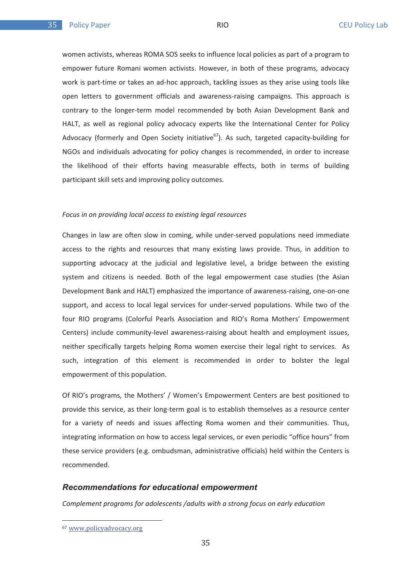women activists, whereas ROMA SOS seeks to influence local policies as part of a program to empower future Romani women activists. However, in both of these programs, advocacy work is part-time or takes an ad-hoc approach, tackling issues as they arise using tools like open letters to government officials and awareness-raising campaigns. This approach is contrary to the longer-term model recommended by both Asian Development Bank and HALT, as well as regional policy advocacy experts like the International Center for Policy Advocacy (formerly and Open Society initiative<sup>67</sup>). As such, targeted capacity-building for NGOs and individuals advocating for policy changes is recommended, in order to increase the likelihood of their efforts having measurable effects, both in terms of building participant skill sets and improving policy outcomes.

#### *Focus in on providing local access to existing legal resources*

Changes in law are often slow in coming, while under-served populations need immediate access to the rights and resources that many existing laws provide. Thus, in addition to supporting advocacy at the judicial and legislative level, a bridge between the existing system and citizens is needed. Both of the legal empowerment case studies (the Asian Development Bank and HALT) emphasized the importance of awareness-raising, one-on-one support, and access to local legal services for under-served populations. While two of the four RIO programs (Colorful Pearls Association and RIO's Roma Mothers' Empowerment Centers) include community-level awareness-raising about health and employment issues, neither specifically targets helping Roma women exercise their legal right to services. As such, integration of this element is recommended in order to bolster the legal empowerment of this population.

Of RIO's programs, the Mothers' / Women's Empowerment Centers are best positioned to provide this service, as their long-term goal is to establish themselves as a resource center for a variety of needs and issues affecting Roma women and their communities. Thus, integrating information on how to access legal services, or even periodic "office hours" from these service providers (e.g. ombudsman, administrative officials) held within the Centers is recommended.

#### *Recommendations for educational empowerment*

*Complement programs for adolescents /adults with a strong focus on early education* 

 $\frac{67}{2}$  with policides of  $\frac{67}{2}$  and  $\frac{67}{2}$  and  $\frac{67}{2}$  and  $\frac{67}{2}$  and  $\frac{67}{2}$  and  $\frac{67}{2}$  and  $\frac{67}{2}$  and  $\frac{67}{2}$  and  $\frac{67}{2}$  and  $\frac{67}{2}$  and  $\frac{67}{2}$  and  $\frac{67}{2}$  and  $\frac{67}{2}$  a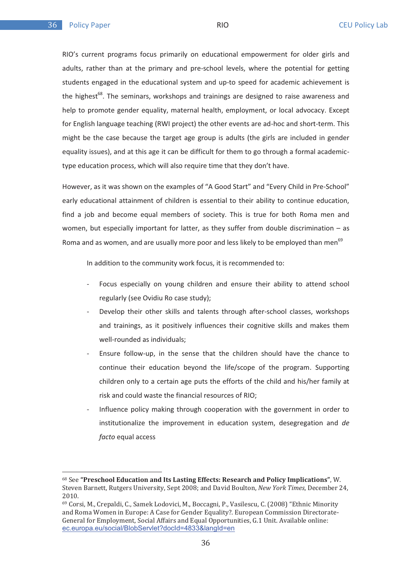RIO's current programs focus primarily on educational empowerment for older girls and adults, rather than at the primary and pre-school levels, where the potential for getting students engaged in the educational system and up-to speed for academic achievement is the highest<sup>68</sup>. The seminars, workshops and trainings are designed to raise awareness and help to promote gender equality, maternal health, employment, or local advocacy. Except for English language teaching (RWI project) the other events are ad-hoc and short-term. This might be the case because the target age group is adults (the girls are included in gender equality issues), and at this age it can be difficult for them to go through a formal academictype education process, which will also require time that they don't have.

However, as it was shown on the examples of "A Good Start" and "Every Child in Pre-School" early educational attainment of children is essential to their ability to continue education, find a job and become equal members of society. This is true for both Roma men and women, but especially important for latter, as they suffer from double discrimination – as Roma and as women, and are usually more poor and less likely to be employed than men<sup>69</sup>

In addition to the community work focus, it is recommended to:

- Focus especially on young children and ensure their ability to attend school regularly (see Ovidiu Ro case study);
- Develop their other skills and talents through after-school classes, workshops and trainings, as it positively influences their cognitive skills and makes them well-rounded as individuals;
- Ensure follow-up, in the sense that the children should have the chance to continue their education beyond the life/scope of the program. Supporting children only to a certain age puts the efforts of the child and his/her family at risk and could waste the financial resources of RIO;
- Influence policy making through cooperation with the government in order to institutionalize the improvement in education system, desegregation and *de facto* equal access

<sup>&</sup>lt;sup>68</sup> See **"Preschool Education and Its Lasting Effects: Research and Policy Implications", W.** bee **Tresensor Baltearion and Te Basting Briefels Research and Toney Impreditors** , w.<br>Steven Barnett, Rutgers University, Sept 2008; and David Boulton, *New York Times*, December 24,  $2010.$ 

<sup>&</sup>lt;u>sore.</u><br>69 Corsi, M., Crepaldi, C., Samek Lodovici, M., Boccagni, P., Vasilescu, C. (2008) "Ethnic Minority and Roma Women in Europe: A Case for Gender Equality?. European Commission Directorateand Roma Women in Early Et I dase for denier Equality ... But open dominission Breedere<br>General for Employment, Social Affairs and Equal Opportunities, G.1 Unit. Available online: ec.europa.eu/social/BlobServlet?docId=4833&langId=en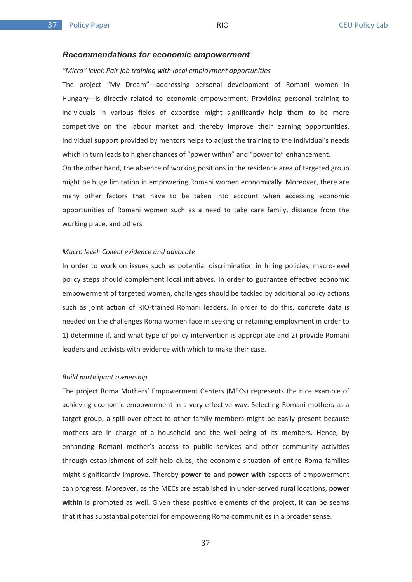#### *Recommendations for economic empowerment*

#### *"Micro" level: Pair job training with local employment opportunities*

The project "My Dream"—addressing personal development of Romani women in Hungary—is directly related to economic empowerment. Providing personal training to individuals in various fields of expertise might significantly help them to be more competitive on the labour market and thereby improve their earning opportunities. Individual support provided by mentors helps to adjust the training to the individual's needs which in turn leads to higher chances of "power within" and "power to" enhancement.

On the other hand, the absence of working positions in the residence area of targeted group might be huge limitation in empowering Romani women economically. Moreover, there are many other factors that have to be taken into account when accessing economic opportunities of Romani women such as a need to take care family, distance from the working place, and others

#### *Macro level: Collect evidence and advocate*

In order to work on issues such as potential discrimination in hiring policies, macro-level policy steps should complement local initiatives. In order to guarantee effective economic empowerment of targeted women, challenges should be tackled by additional policy actions such as joint action of RIO-trained Romani leaders. In order to do this, concrete data is needed on the challenges Roma women face in seeking or retaining employment in order to 1) determine if, and what type of policy intervention is appropriate and 2) provide Romani leaders and activists with evidence with which to make their case.

#### *Build participant ownership*

The project Roma Mothers' Empowerment Centers (MECs) represents the nice example of achieving economic empowerment in a very effective way. Selecting Romani mothers as a target group, a spill-over effect to other family members might be easily present because mothers are in charge of a household and the well-being of its members. Hence, by enhancing Romani mother's access to public services and other community activities through establishment of self-help clubs, the economic situation of entire Roma families might significantly improve. Thereby **power to** and **power with** aspects of empowerment can progress. Moreover, as the MECs are established in under-served rural locations, **power within** is promoted as well. Given these positive elements of the project, it can be seems that it has substantial potential for empowering Roma communities in a broader sense.

37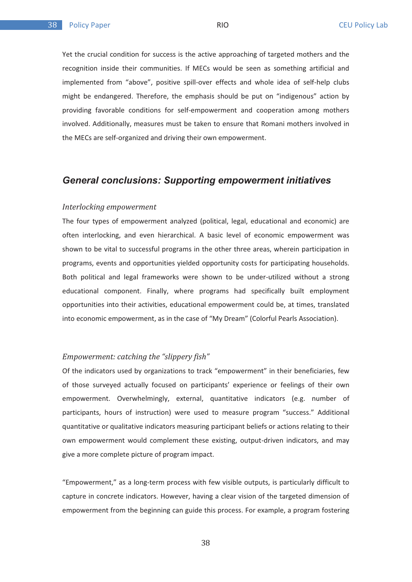Yet the crucial condition for success is the active approaching of targeted mothers and the recognition inside their communities. If MECs would be seen as something artificial and implemented from "above", positive spill-over effects and whole idea of self-help clubs might be endangered. Therefore, the emphasis should be put on "indigenous" action by providing favorable conditions for self-empowerment and cooperation among mothers involved. Additionally, measures must be taken to ensure that Romani mothers involved in the MECs are self-organized and driving their own empowerment.

## *General conclusions: Supporting empowerment initiatives*

#### *Interlocking empowerment*

The four types of empowerment analyzed (political, legal, educational and economic) are often interlocking, and even hierarchical. A basic level of economic empowerment was shown to be vital to successful programs in the other three areas, wherein participation in programs, events and opportunities yielded opportunity costs for participating households. Both political and legal frameworks were shown to be under-utilized without a strong educational component. Finally, where programs had specifically built employment opportunities into their activities, educational empowerment could be, at times, translated into economic empowerment, as in the case of "My Dream" (Colorful Pearls Association).

#### *Empowerment: catching the "slippery fish"*

Of the indicators used by organizations to track "empowerment" in their beneficiaries, few of those surveyed actually focused on participants' experience or feelings of their own empowerment. Overwhelmingly, external, quantitative indicators (e.g. number of participants, hours of instruction) were used to measure program "success." Additional quantitative or qualitative indicators measuring participant beliefs or actions relating to their own empowerment would complement these existing, output-driven indicators, and may give a more complete picture of program impact.

"Empowerment," as a long-term process with few visible outputs, is particularly difficult to capture in concrete indicators. However, having a clear vision of the targeted dimension of empowerment from the beginning can guide this process. For example, a program fostering

38